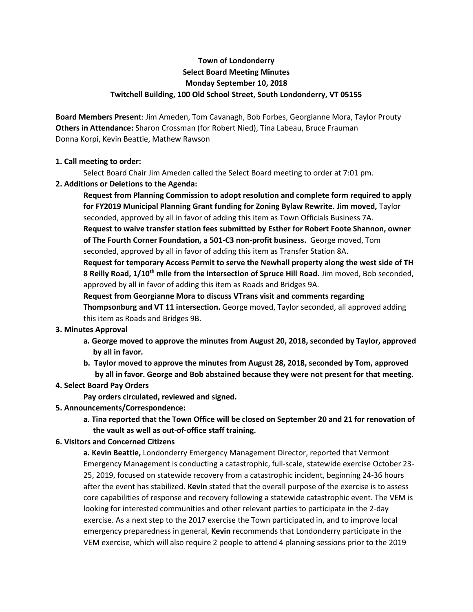# **Town of Londonderry Select Board Meeting Minutes Monday September 10, 2018 Twitchell Building, 100 Old School Street, South Londonderry, VT 05155**

**Board Members Present**: Jim Ameden, Tom Cavanagh, Bob Forbes, Georgianne Mora, Taylor Prouty **Others in Attendance:** Sharon Crossman (for Robert Nied), Tina Labeau, Bruce Frauman Donna Korpi, Kevin Beattie, Mathew Rawson

## **1. Call meeting to order:**

Select Board Chair Jim Ameden called the Select Board meeting to order at 7:01 pm.

## **2. Additions or Deletions to the Agenda:**

**Request from Planning Commission to adopt resolution and complete form required to apply for FY2019 Municipal Planning Grant funding for Zoning Bylaw Rewrite. Jim moved,** Taylor seconded, approved by all in favor of adding this item as Town Officials Business 7A.

**Request to waive transfer station fees submitted by Esther for Robert Foote Shannon, owner of The Fourth Corner Foundation, a 501-C3 non-profit business.** George moved, Tom seconded, approved by all in favor of adding this item as Transfer Station 8A.

**Request for temporary Access Permit to serve the Newhall property along the west side of TH 8 Reilly Road, 1/10th mile from the intersection of Spruce Hill Road.** Jim moved, Bob seconded, approved by all in favor of adding this item as Roads and Bridges 9A.

**Request from Georgianne Mora to discuss VTrans visit and comments regarding Thompsonburg and VT 11 intersection.** George moved, Taylor seconded, all approved adding this item as Roads and Bridges 9B.

## **3. Minutes Approval**

- **a. George moved to approve the minutes from August 20, 2018, seconded by Taylor, approved by all in favor.**
- **b. Taylor moved to approve the minutes from August 28, 2018, seconded by Tom, approved by all in favor. George and Bob abstained because they were not present for that meeting.**

## **4. Select Board Pay Orders**

**Pay orders circulated, reviewed and signed.** 

- **5. Announcements/Correspondence:**
	- **a. Tina reported that the Town Office will be closed on September 20 and 21 for renovation of the vault as well as out-of-office staff training.**

## **6. Visitors and Concerned Citizens**

**a. Kevin Beattie,** Londonderry Emergency Management Director, reported that Vermont Emergency Management is conducting a catastrophic, full-scale, statewide exercise October 23- 25, 2019, focused on statewide recovery from a catastrophic incident, beginning 24-36 hours after the event has stabilized. **Kevin** stated that the overall purpose of the exercise is to assess core capabilities of response and recovery following a statewide catastrophic event. The VEM is looking for interested communities and other relevant parties to participate in the 2-day exercise. As a next step to the 2017 exercise the Town participated in, and to improve local emergency preparedness in general, **Kevin** recommends that Londonderry participate in the VEM exercise, which will also require 2 people to attend 4 planning sessions prior to the 2019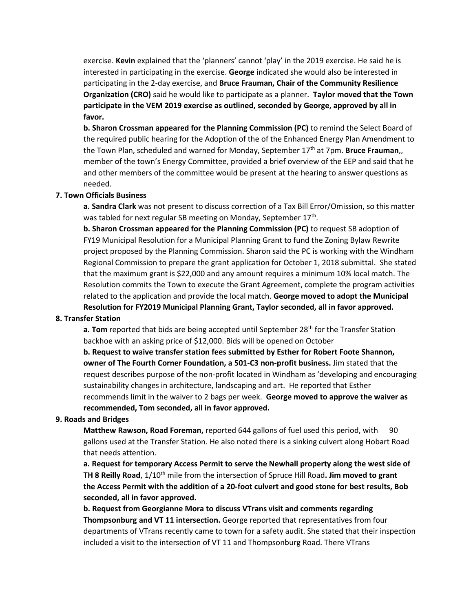exercise. **Kevin** explained that the 'planners' cannot 'play' in the 2019 exercise. He said he is interested in participating in the exercise. **George** indicated she would also be interested in participating in the 2-day exercise, and **Bruce Frauman, Chair of the Community Resilience Organization (CRO)** said he would like to participate as a planner. **Taylor moved that the Town participate in the VEM 2019 exercise as outlined, seconded by George, approved by all in favor.** 

**b. Sharon Crossman appeared for the Planning Commission (PC)** to remind the Select Board of the required public hearing for the Adoption of the of the Enhanced Energy Plan Amendment to the Town Plan, scheduled and warned for Monday, September 17<sup>th</sup> at 7pm. **Bruce Frauman**,, member of the town's Energy Committee, provided a brief overview of the EEP and said that he and other members of the committee would be present at the hearing to answer questions as needed.

### **7. Town Officials Business**

**a. Sandra Clark** was not present to discuss correction of a Tax Bill Error/Omission, so this matter was tabled for next regular SB meeting on Monday, September 17<sup>th</sup>.

**b. Sharon Crossman appeared for the Planning Commission (PC)** to request SB adoption of FY19 Municipal Resolution for a Municipal Planning Grant to fund the Zoning Bylaw Rewrite project proposed by the Planning Commission. Sharon said the PC is working with the Windham Regional Commission to prepare the grant application for October 1, 2018 submittal. She stated that the maximum grant is \$22,000 and any amount requires a minimum 10% local match. The Resolution commits the Town to execute the Grant Agreement, complete the program activities related to the application and provide the local match. **George moved to adopt the Municipal Resolution for FY2019 Municipal Planning Grant, Taylor seconded, all in favor approved.**

#### **8. Transfer Station**

**a. Tom** reported that bids are being accepted until September 28<sup>th</sup> for the Transfer Station backhoe with an asking price of \$12,000. Bids will be opened on October

**b. Request to waive transfer station fees submitted by Esther for Robert Foote Shannon, owner of The Fourth Corner Foundation, a 501-C3 non-profit business.** Jim stated that the request describes purpose of the non-profit located in Windham as 'developing and encouraging sustainability changes in architecture, landscaping and art. He reported that Esther recommends limit in the waiver to 2 bags per week. **George moved to approve the waiver as recommended, Tom seconded, all in favor approved.**

#### **9. Roads and Bridges**

**Matthew Rawson, Road Foreman, reported 644 gallons of fuel used this period, with 90** gallons used at the Transfer Station. He also noted there is a sinking culvert along Hobart Road that needs attention.

**a. Request for temporary Access Permit to serve the Newhall property along the west side of TH 8 Reilly Road**, 1/10<sup>th</sup> mile from the intersection of Spruce Hill Road. **Jim moved to grant the Access Permit with the addition of a 20-foot culvert and good stone for best results, Bob seconded, all in favor approved.** 

**b. Request from Georgianne Mora to discuss VTrans visit and comments regarding Thompsonburg and VT 11 intersection.** George reported that representatives from four departments of VTrans recently came to town for a safety audit. She stated that their inspection included a visit to the intersection of VT 11 and Thompsonburg Road. There VTrans